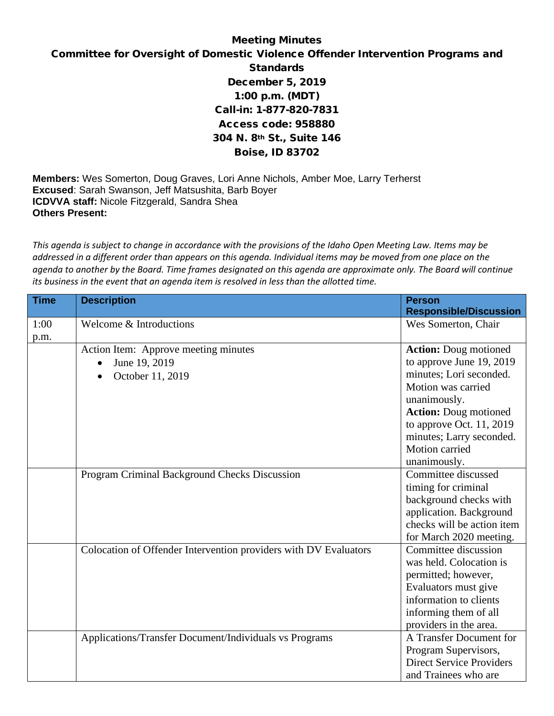## Meeting Minutes

## Committee for Oversight of Domestic Violence Offender Intervention Programs and **Standards** December 5, 2019 1:00 p.m. (MDT) Call-in: 1-877-820-7831 Access code: 958880 304 N. 8th St., Suite 146 Boise, ID 83702

**Members:** Wes Somerton, Doug Graves, Lori Anne Nichols, Amber Moe, Larry Terherst **Excused**: Sarah Swanson, Jeff Matsushita, Barb Boyer **ICDVVA staff:** Nicole Fitzgerald, Sandra Shea **Others Present:**

*This agenda is subject to change in accordance with the provisions of the Idaho Open Meeting Law. Items may be addressed in a different order than appears on this agenda. Individual items may be moved from one place on the agenda to another by the Board. Time frames designated on this agenda are approximate only. The Board will continue its business in the event that an agenda item is resolved in less than the allotted time.*

| <b>Time</b> | <b>Description</b>                                               | <b>Person</b>                   |
|-------------|------------------------------------------------------------------|---------------------------------|
|             |                                                                  | <b>Responsible/Discussion</b>   |
| 1:00        | Welcome & Introductions                                          | Wes Somerton, Chair             |
| p.m.        |                                                                  |                                 |
|             | Action Item: Approve meeting minutes                             | <b>Action:</b> Doug motioned    |
|             | June 19, 2019<br>$\bullet$                                       | to approve June 19, 2019        |
|             | October 11, 2019                                                 | minutes; Lori seconded.         |
|             |                                                                  | Motion was carried              |
|             |                                                                  | unanimously.                    |
|             |                                                                  | <b>Action:</b> Doug motioned    |
|             |                                                                  | to approve Oct. 11, 2019        |
|             |                                                                  | minutes; Larry seconded.        |
|             |                                                                  | Motion carried                  |
|             |                                                                  | unanimously.                    |
|             | Program Criminal Background Checks Discussion                    | Committee discussed             |
|             |                                                                  | timing for criminal             |
|             |                                                                  | background checks with          |
|             |                                                                  | application. Background         |
|             |                                                                  | checks will be action item      |
|             |                                                                  | for March 2020 meeting.         |
|             | Colocation of Offender Intervention providers with DV Evaluators | Committee discussion            |
|             |                                                                  | was held. Colocation is         |
|             |                                                                  | permitted; however,             |
|             |                                                                  | Evaluators must give            |
|             |                                                                  | information to clients          |
|             |                                                                  | informing them of all           |
|             |                                                                  | providers in the area.          |
|             | Applications/Transfer Document/Individuals vs Programs           | A Transfer Document for         |
|             |                                                                  | Program Supervisors,            |
|             |                                                                  | <b>Direct Service Providers</b> |
|             |                                                                  | and Trainees who are            |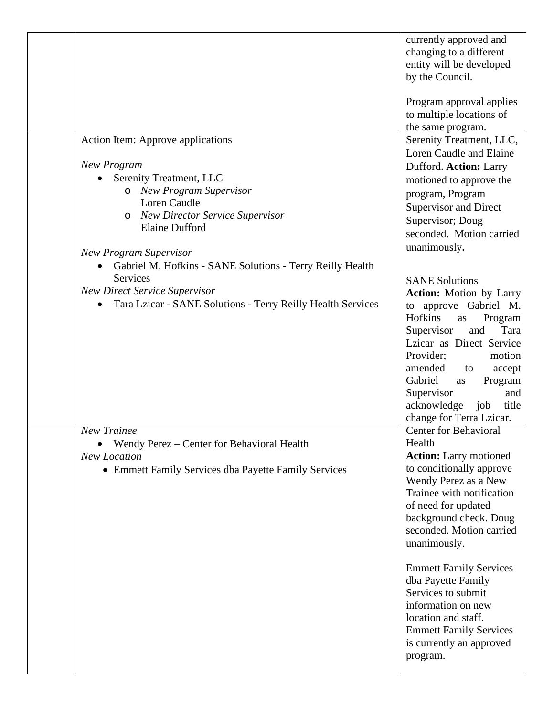|                                                                                                                                                                                                                                               | currently approved and<br>changing to a different<br>entity will be developed<br>by the Council.                                                                                                                                                                                                                                    |
|-----------------------------------------------------------------------------------------------------------------------------------------------------------------------------------------------------------------------------------------------|-------------------------------------------------------------------------------------------------------------------------------------------------------------------------------------------------------------------------------------------------------------------------------------------------------------------------------------|
|                                                                                                                                                                                                                                               | Program approval applies<br>to multiple locations of<br>the same program.                                                                                                                                                                                                                                                           |
| Action Item: Approve applications<br><b>New Program</b><br>Serenity Treatment, LLC<br>o New Program Supervisor<br>Loren Caudle<br><b>New Director Service Supervisor</b><br>$\circ$<br><b>Elaine Dufford</b><br><b>New Program Supervisor</b> | Serenity Treatment, LLC,<br>Loren Caudle and Elaine<br>Dufford. Action: Larry<br>motioned to approve the<br>program, Program<br><b>Supervisor and Direct</b><br>Supervisor; Doug<br>seconded. Motion carried<br>unanimously.                                                                                                        |
| Gabriel M. Hofkins - SANE Solutions - Terry Reilly Health<br>$\bullet$<br>Services<br><b>New Direct Service Supervisor</b><br>Tara Lzicar - SANE Solutions - Terry Reilly Health Services                                                     | <b>SANE Solutions</b><br><b>Action:</b> Motion by Larry<br>to approve Gabriel M.<br>Hofkins<br>Program<br>as<br>Supervisor<br>Tara<br>and<br>Lzicar as Direct Service<br>Provider;<br>motion<br>amended<br>accept<br>to<br>Gabriel<br>Program<br>as<br>Supervisor<br>and<br>acknowledge<br>job<br>title<br>change for Terra Lzicar. |
| New Trainee<br>Wendy Perez - Center for Behavioral Health<br><b>New Location</b><br>• Emmett Family Services dba Payette Family Services                                                                                                      | Center for Behavioral<br>Health<br><b>Action:</b> Larry motioned<br>to conditionally approve<br>Wendy Perez as a New<br>Trainee with notification<br>of need for updated<br>background check. Doug<br>seconded. Motion carried<br>unanimously.                                                                                      |
|                                                                                                                                                                                                                                               | <b>Emmett Family Services</b><br>dba Payette Family<br>Services to submit<br>information on new<br>location and staff.<br><b>Emmett Family Services</b><br>is currently an approved<br>program.                                                                                                                                     |